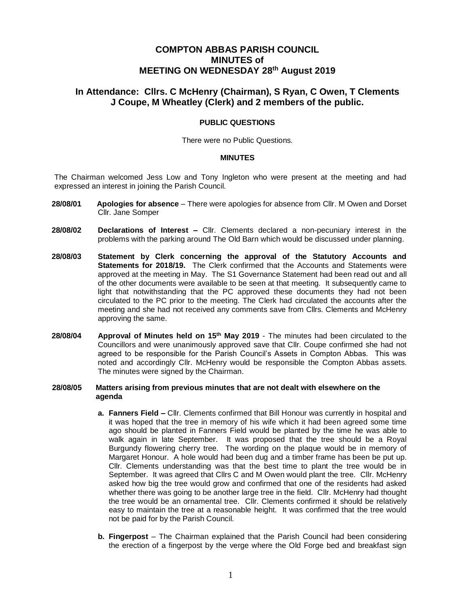## **COMPTON ABBAS PARISH COUNCIL MINUTES of MEETING ON WEDNESDAY 28th August 2019**

# **In Attendance: Cllrs. C McHenry (Chairman), S Ryan, C Owen, T Clements J Coupe, M Wheatley (Clerk) and 2 members of the public.**

### **PUBLIC QUESTIONS**

There were no Public Questions.

#### **MINUTES**

The Chairman welcomed Jess Low and Tony Ingleton who were present at the meeting and had expressed an interest in joining the Parish Council.

- **28/08/01 Apologies for absence**  There were apologies for absence from Cllr. M Owen and Dorset Cllr. Jane Somper
- **28/08/02 Declarations of Interest –** Cllr. Clements declared a non-pecuniary interest in the problems with the parking around The Old Barn which would be discussed under planning.
- **28/08/03 Statement by Clerk concerning the approval of the Statutory Accounts and Statements for 2018/19.** The Clerk confirmed that the Accounts and Statements were approved at the meeting in May. The S1 Governance Statement had been read out and all of the other documents were available to be seen at that meeting. It subsequently came to light that notwithstanding that the PC approved these documents they had not been circulated to the PC prior to the meeting. The Clerk had circulated the accounts after the meeting and she had not received any comments save from Cllrs. Clements and McHenry approving the same.
- **28/08/04 Approval of Minutes held on 15th May 2019**  The minutes had been circulated to the Councillors and were unanimously approved save that Cllr. Coupe confirmed she had not agreed to be responsible for the Parish Council's Assets in Compton Abbas. This was noted and accordingly Cllr. McHenry would be responsible the Compton Abbas assets. The minutes were signed by the Chairman.

#### **28/08/05 Matters arising from previous minutes that are not dealt with elsewhere on the agenda**

- **a. Fanners Field –** Cllr. Clements confirmed that Bill Honour was currently in hospital and it was hoped that the tree in memory of his wife which it had been agreed some time ago should be planted in Fanners Field would be planted by the time he was able to walk again in late September. It was proposed that the tree should be a Royal Burgundy flowering cherry tree. The wording on the plaque would be in memory of Margaret Honour. A hole would had been dug and a timber frame has been be put up. Cllr. Clements understanding was that the best time to plant the tree would be in September. It was agreed that Cllrs C and M Owen would plant the tree. Cllr. McHenry asked how big the tree would grow and confirmed that one of the residents had asked whether there was going to be another large tree in the field. Cllr. McHenry had thought the tree would be an ornamental tree. Cllr. Clements confirmed it should be relatively easy to maintain the tree at a reasonable height. It was confirmed that the tree would not be paid for by the Parish Council.
- **b. Fingerpost**  The Chairman explained that the Parish Council had been considering the erection of a fingerpost by the verge where the Old Forge bed and breakfast sign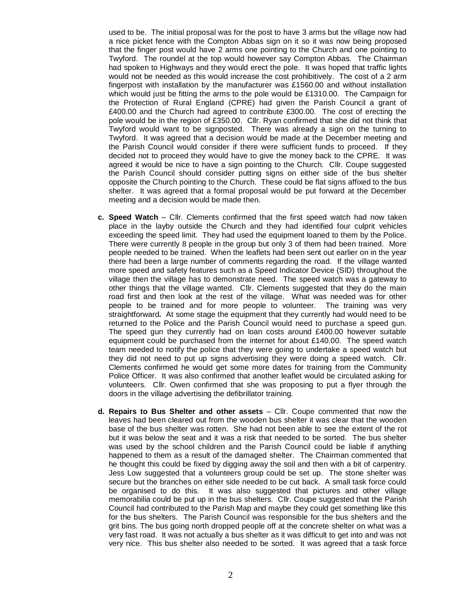used to be. The initial proposal was for the post to have 3 arms but the village now had a nice picket fence with the Compton Abbas sign on it so it was now being proposed that the finger post would have 2 arms one pointing to the Church and one pointing to Twyford. The roundel at the top would however say Compton Abbas. The Chairman had spoken to Highways and they would erect the pole. It was hoped that traffic lights would not be needed as this would increase the cost prohibitively. The cost of a 2 arm fingerpost with installation by the manufacturer was £1560.00 and without installation which would just be fitting the arms to the pole would be £1310.00. The Campaign for the Protection of Rural England (CPRE) had given the Parish Council a grant of £400.00 and the Church had agreed to contribute £300.00. The cost of erecting the pole would be in the region of £350.00. Cllr. Ryan confirmed that she did not think that Twyford would want to be signposted. There was already a sign on the turning to Twyford. It was agreed that a decision would be made at the December meeting and the Parish Council would consider if there were sufficient funds to proceed. If they decided not to proceed they would have to give the money back to the CPRE. It was agreed it would be nice to have a sign pointing to the Church. Cllr. Coupe suggested the Parish Council should consider putting signs on either side of the bus shelter opposite the Church pointing to the Church. These could be flat signs affixed to the bus shelter. It was agreed that a formal proposal would be put forward at the December meeting and a decision would be made then.

- **c. Speed Watch**  Cllr. Clements confirmed that the first speed watch had now taken place in the layby outside the Church and they had identified four culprit vehicles exceeding the speed limit. They had used the equipment loaned to them by the Police. There were currently 8 people in the group but only 3 of them had been trained. More people needed to be trained. When the leaflets had been sent out earlier on in the year there had been a large number of comments regarding the road. If the village wanted more speed and safety features such as a Speed Indicator Device (SID) throughout the village then the village has to demonstrate need. The speed watch was a gateway to other things that the village wanted. Cllr. Clements suggested that they do the main road first and then look at the rest of the village. What was needed was for other people to be trained and for more people to volunteer. The training was very straightforward*.* At some stage the equipment that they currently had would need to be returned to the Police and the Parish Council would need to purchase a speed gun. The speed gun they currently had on loan costs around £400.00 however suitable equipment could be purchased from the internet for about £140.00. The speed watch team needed to notify the police that they were going to undertake a speed watch but they did not need to put up signs advertising they were doing a speed watch. Cllr. Clements confirmed he would get some more dates for training from the Community Police Officer. It was also confirmed that another leaflet would be circulated asking for volunteers. Cllr. Owen confirmed that she was proposing to put a flyer through the doors in the village advertising the defibrillator training.
- **d. Repairs to Bus Shelter and other assets** Cllr. Coupe commented that now the leaves had been cleared out from the wooden bus shelter it was clear that the wooden base of the bus shelter was rotten. She had not been able to see the extent of the rot but it was below the seat and it was a risk that needed to be sorted. The bus shelter was used by the school children and the Parish Council could be liable if anything happened to them as a result of the damaged shelter. The Chairman commented that he thought this could be fixed by digging away the soil and then with a bit of carpentry. Jess Low suggested that a volunteers group could be set up. The stone shelter was secure but the branches on either side needed to be cut back. A small task force could be organised to do this. It was also suggested that pictures and other village memorabilia could be put up in the bus shelters. Cllr. Coupe suggested that the Parish Council had contributed to the Parish Map and maybe they could get something like this for the bus shelters. The Parish Council was responsible for the bus shelters and the grit bins. The bus going north dropped people off at the concrete shelter on what was a very fast road. It was not actually a bus shelter as it was difficult to get into and was not very nice. This bus shelter also needed to be sorted. It was agreed that a task force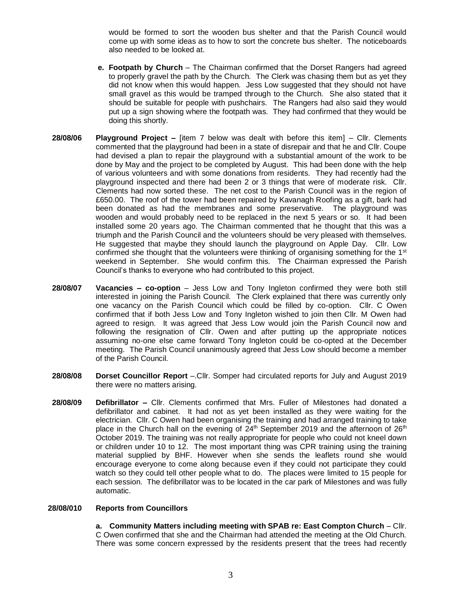would be formed to sort the wooden bus shelter and that the Parish Council would come up with some ideas as to how to sort the concrete bus shelter. The noticeboards also needed to be looked at.

- **e. Footpath by Church** The Chairman confirmed that the Dorset Rangers had agreed to properly gravel the path by the Church. The Clerk was chasing them but as yet they did not know when this would happen. Jess Low suggested that they should not have small gravel as this would be tramped through to the Church. She also stated that it should be suitable for people with pushchairs. The Rangers had also said they would put up a sign showing where the footpath was. They had confirmed that they would be doing this shortly.
- **28/08/06 Playground Project –** [item 7 below was dealt with before this item] Cllr. Clements commented that the playground had been in a state of disrepair and that he and Cllr. Coupe had devised a plan to repair the playground with a substantial amount of the work to be done by May and the project to be completed by August. This had been done with the help of various volunteers and with some donations from residents. They had recently had the playground inspected and there had been 2 or 3 things that were of moderate risk. Cllr. Clements had now sorted these. The net cost to the Parish Council was in the region of £650.00. The roof of the tower had been repaired by Kavanagh Roofing as a gift, bark had been donated as had the membranes and some preservative. The playground was wooden and would probably need to be replaced in the next 5 years or so. It had been installed some 20 years ago. The Chairman commented that he thought that this was a triumph and the Parish Council and the volunteers should be very pleased with themselves. He suggested that maybe they should launch the playground on Apple Day. Cllr. Low confirmed she thought that the volunteers were thinking of organising something for the  $1<sup>st</sup>$ weekend in September. She would confirm this. The Chairman expressed the Parish Council's thanks to everyone who had contributed to this project.
- **28/08/07 Vacancies – co-option** Jess Low and Tony Ingleton confirmed they were both still interested in joining the Parish Council. The Clerk explained that there was currently only one vacancy on the Parish Council which could be filled by co-option. Cllr. C Owen confirmed that if both Jess Low and Tony Ingleton wished to join then Cllr. M Owen had agreed to resign. It was agreed that Jess Low would join the Parish Council now and following the resignation of Cllr. Owen and after putting up the appropriate notices assuming no-one else came forward Tony Ingleton could be co-opted at the December meeting. The Parish Council unanimously agreed that Jess Low should become a member of the Parish Council.
- **28/08/08 Dorset Councillor Report** –.Cllr. Somper had circulated reports for July and August 2019 there were no matters arising.
- **28/08/09 Defibrillator –** Cllr. Clements confirmed that Mrs. Fuller of Milestones had donated a defibrillator and cabinet. It had not as yet been installed as they were waiting for the electrician. Cllr. C Owen had been organising the training and had arranged training to take place in the Church hall on the evening of 24<sup>th</sup> September 2019 and the afternoon of 26<sup>th</sup> October 2019. The training was not really appropriate for people who could not kneel down or children under 10 to 12. The most important thing was CPR training using the training material supplied by BHF. However when she sends the leaflets round she would encourage everyone to come along because even if they could not participate they could watch so they could tell other people what to do. The places were limited to 15 people for each session. The defibrillator was to be located in the car park of Milestones and was fully automatic.

#### **28/08/010 Reports from Councillors**

**a. Community Matters including meeting with SPAB re: East Compton Church** – Cllr. C Owen confirmed that she and the Chairman had attended the meeting at the Old Church. There was some concern expressed by the residents present that the trees had recently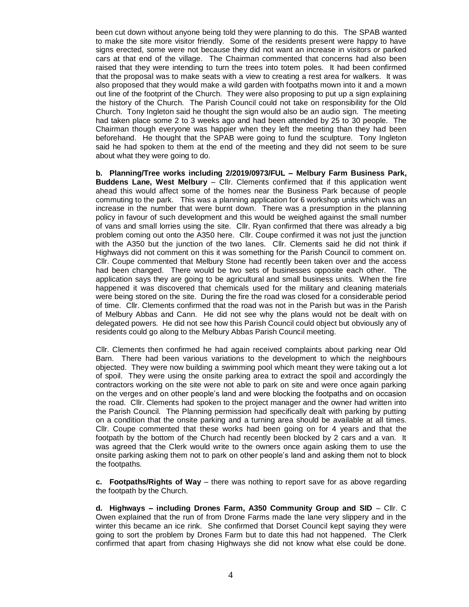been cut down without anyone being told they were planning to do this. The SPAB wanted to make the site more visitor friendly. Some of the residents present were happy to have signs erected, some were not because they did not want an increase in visitors or parked cars at that end of the village. The Chairman commented that concerns had also been raised that they were intending to turn the trees into totem poles. It had been confirmed that the proposal was to make seats with a view to creating a rest area for walkers. It was also proposed that they would make a wild garden with footpaths mown into it and a mown out line of the footprint of the Church. They were also proposing to put up a sign explaining the history of the Church. The Parish Council could not take on responsibility for the Old Church. Tony Ingleton said he thought the sign would also be an audio sign. The meeting had taken place some 2 to 3 weeks ago and had been attended by 25 to 30 people. The Chairman though everyone was happier when they left the meeting than they had been beforehand. He thought that the SPAB were going to fund the sculpture. Tony Ingleton said he had spoken to them at the end of the meeting and they did not seem to be sure about what they were going to do.

**b. Planning/Tree works including 2/2019/0973/FUL – Melbury Farm Business Park, Buddens Lane, West Melbury** – Cllr. Clements confirmed that if this application went ahead this would affect some of the homes near the Business Park because of people commuting to the park. This was a planning application for 6 workshop units which was an increase in the number that were burnt down. There was a presumption in the planning policy in favour of such development and this would be weighed against the small number of vans and small lorries using the site. Cllr. Ryan confirmed that there was already a big problem coming out onto the A350 here. Cllr. Coupe confirmed it was not just the junction with the A350 but the junction of the two lanes. Cllr. Clements said he did not think if Highways did not comment on this it was something for the Parish Council to comment on. Cllr. Coupe commented that Melbury Stone had recently been taken over and the access had been changed. There would be two sets of businesses opposite each other. The application says they are going to be agricultural and small business units. When the fire happened it was discovered that chemicals used for the military and cleaning materials were being stored on the site. During the fire the road was closed for a considerable period of time. Cllr. Clements confirmed that the road was not in the Parish but was in the Parish of Melbury Abbas and Cann. He did not see why the plans would not be dealt with on delegated powers. He did not see how this Parish Council could object but obviously any of residents could go along to the Melbury Abbas Parish Council meeting.

Cllr. Clements then confirmed he had again received complaints about parking near Old Barn. There had been various variations to the development to which the neighbours objected. They were now building a swimming pool which meant they were taking out a lot of spoil. They were using the onsite parking area to extract the spoil and accordingly the contractors working on the site were not able to park on site and were once again parking on the verges and on other people's land and were blocking the footpaths and on occasion the road. Cllr. Clements had spoken to the project manager and the owner had written into the Parish Council. The Planning permission had specifically dealt with parking by putting on a condition that the onsite parking and a turning area should be available at all times. Cllr. Coupe commented that these works had been going on for 4 years and that the footpath by the bottom of the Church had recently been blocked by 2 cars and a van. It was agreed that the Clerk would write to the owners once again asking them to use the onsite parking asking them not to park on other people's land and asking them not to block the footpaths.

**c. Footpaths/Rights of Way** – there was nothing to report save for as above regarding the footpath by the Church.

**d. Highways – including Drones Farm, A350 Community Group and SID** – Cllr. C Owen explained that the run of from Drone Farms made the lane very slippery and in the winter this became an ice rink. She confirmed that Dorset Council kept saying they were going to sort the problem by Drones Farm but to date this had not happened. The Clerk confirmed that apart from chasing Highways she did not know what else could be done.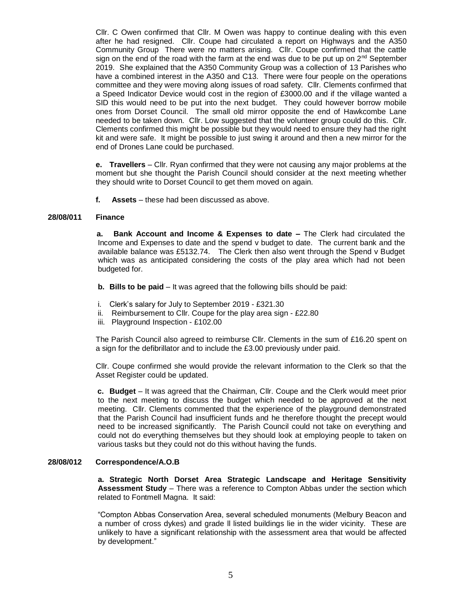Cllr. C Owen confirmed that Cllr. M Owen was happy to continue dealing with this even after he had resigned. Cllr. Coupe had circulated a report on Highways and the A350 Community Group There were no matters arising. Cllr. Coupe confirmed that the cattle sign on the end of the road with the farm at the end was due to be put up on  $2<sup>nd</sup>$  September 2019. She explained that the A350 Community Group was a collection of 13 Parishes who have a combined interest in the A350 and C13. There were four people on the operations committee and they were moving along issues of road safety. Cllr. Clements confirmed that a Speed Indicator Device would cost in the region of £3000.00 and if the village wanted a SID this would need to be put into the next budget. They could however borrow mobile ones from Dorset Council. The small old mirror opposite the end of Hawkcombe Lane needed to be taken down. Cllr. Low suggested that the volunteer group could do this. Cllr. Clements confirmed this might be possible but they would need to ensure they had the right kit and were safe. It might be possible to just swing it around and then a new mirror for the end of Drones Lane could be purchased.

**e. Travellers** – Cllr. Ryan confirmed that they were not causing any major problems at the moment but she thought the Parish Council should consider at the next meeting whether they should write to Dorset Council to get them moved on again.

**f. Assets** – these had been discussed as above.

#### **28/08/011 Finance**

 **a. Bank Account and Income & Expenses to date –** The Clerk had circulated the Income and Expenses to date and the spend v budget to date. The current bank and the available balance was £5132.74. The Clerk then also went through the Spend v Budget which was as anticipated considering the costs of the play area which had not been budgeted for.

- **b. Bills to be paid** It was agreed that the following bills should be paid:
- i. Clerk's salary for July to September 2019 £321.30
- ii. Reimbursement to Cllr. Coupe for the play area sign £22.80
- iii. Playground Inspection £102.00

The Parish Council also agreed to reimburse Cllr. Clements in the sum of £16.20 spent on a sign for the defibrillator and to include the £3.00 previously under paid.

Cllr. Coupe confirmed she would provide the relevant information to the Clerk so that the Asset Register could be updated.

**c. Budget** – It was agreed that the Chairman, Cllr. Coupe and the Clerk would meet prior to the next meeting to discuss the budget which needed to be approved at the next meeting. Cllr. Clements commented that the experience of the playground demonstrated that the Parish Council had insufficient funds and he therefore thought the precept would need to be increased significantly. The Parish Council could not take on everything and could not do everything themselves but they should look at employing people to taken on various tasks but they could not do this without having the funds.

#### **28/08/012 Correspondence/A.O.B**

**a. Strategic North Dorset Area Strategic Landscape and Heritage Sensitivity Assessment Study** – There was a reference to Compton Abbas under the section which related to Fontmell Magna. It said:

"Compton Abbas Conservation Area, several scheduled monuments (Melbury Beacon and a number of cross dykes) and grade ll listed buildings lie in the wider vicinity. These are unlikely to have a significant relationship with the assessment area that would be affected by development."